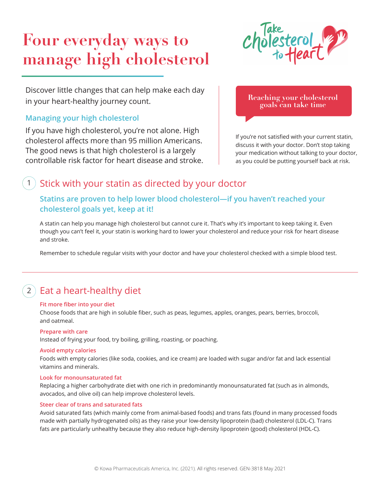# **Four everyday ways to manage high cholesterol**

Discover little changes that can help make each day in your heart-healthy journey count.

## **Managing your high cholesterol**

If you have high cholesterol, you're not alone. High cholesterol affects more than 95 million Americans. The good news is that high cholesterol is a largely controllable risk factor for heart disease and stroke. **Reaching your cholesterol goals can take time**

If you're not satisfied with your current statin, discuss it with your doctor. Don't stop taking your medication without talking to your doctor, as you could be putting yourself back at risk.

## $1$ ) Stick with your statin as directed by your doctor

## **Statins are proven to help lower blood cholesterol—if you haven't reached your cholesterol goals yet, keep at it!**

A statin can help you manage high cholesterol but cannot cure it. That's why it's important to keep taking it. Even though you can't feel it, your statin is working hard to lower your cholesterol and reduce your risk for heart disease and stroke.

Remember to schedule regular visits with your doctor and have your cholesterol checked with a simple blood test.

## $2$ ) Eat a heart-healthy diet

## **Fit more fiber into your diet**

Choose foods that are high in soluble fiber, such as peas, legumes, apples, oranges, pears, berries, broccoli, and oatmeal.

## **Prepare with care**

Instead of frying your food, try boiling, grilling, roasting, or poaching.

## **Avoid empty calories**

Foods with empty calories (like soda, cookies, and ice cream) are loaded with sugar and/or fat and lack essential vitamins and minerals.

## **Look for monounsaturated fat**

Replacing a higher carbohydrate diet with one rich in predominantly monounsaturated fat (such as in almonds, avocados, and olive oil) can help improve cholesterol levels.

## **Steer clear of trans and saturated fats**

Avoid saturated fats (which mainly come from animal-based foods) and trans fats (found in many processed foods made with partially hydrogenated oils) as they raise your low-density lipoprotein (bad) cholesterol (LDL-C). Trans fats are particularly unhealthy because they also reduce high-density lipoprotein (good) cholesterol (HDL-C).